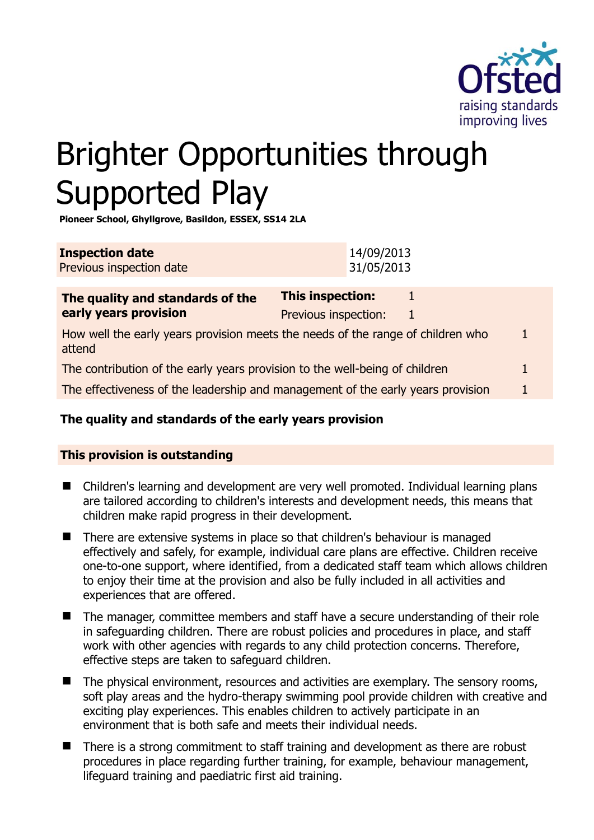

# Brighter Opportunities through Supported Play

**Pioneer School, Ghyllgrove, Basildon, ESSEX, SS14 2LA** 

| <b>Inspection date</b><br>Previous inspection date                                        | 14/09/2013<br>31/05/2013                             |  |
|-------------------------------------------------------------------------------------------|------------------------------------------------------|--|
| The quality and standards of the<br>early years provision                                 | <b>This inspection:</b><br>Previous inspection:<br>1 |  |
| How well the early years provision meets the needs of the range of children who<br>attend |                                                      |  |
| The contribution of the early years provision to the well-being of children               |                                                      |  |
| The effectiveness of the leadership and management of the early years provision           |                                                      |  |

# **The quality and standards of the early years provision**

# **This provision is outstanding**

- Children's learning and development are very well promoted. Individual learning plans are tailored according to children's interests and development needs, this means that children make rapid progress in their development.
- **There are extensive systems in place so that children's behaviour is managed** effectively and safely, for example, individual care plans are effective. Children receive one-to-one support, where identified, from a dedicated staff team which allows children to enjoy their time at the provision and also be fully included in all activities and experiences that are offered.
- The manager, committee members and staff have a secure understanding of their role in safeguarding children. There are robust policies and procedures in place, and staff work with other agencies with regards to any child protection concerns. Therefore, effective steps are taken to safeguard children.
- $\blacksquare$  The physical environment, resources and activities are exemplary. The sensory rooms, soft play areas and the hydro-therapy swimming pool provide children with creative and exciting play experiences. This enables children to actively participate in an environment that is both safe and meets their individual needs.
- There is a strong commitment to staff training and development as there are robust procedures in place regarding further training, for example, behaviour management, lifeguard training and paediatric first aid training.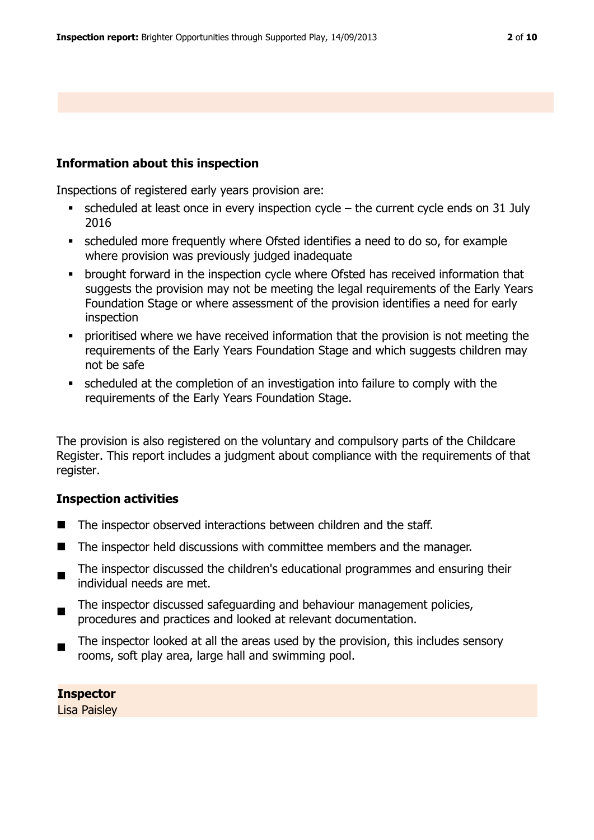### **Information about this inspection**

Inspections of registered early years provision are:

- $\bullet$  scheduled at least once in every inspection cycle the current cycle ends on 31 July 2016
- scheduled more frequently where Ofsted identifies a need to do so, for example where provision was previously judged inadequate
- **•** brought forward in the inspection cycle where Ofsted has received information that suggests the provision may not be meeting the legal requirements of the Early Years Foundation Stage or where assessment of the provision identifies a need for early inspection
- prioritised where we have received information that the provision is not meeting the requirements of the Early Years Foundation Stage and which suggests children may not be safe
- scheduled at the completion of an investigation into failure to comply with the requirements of the Early Years Foundation Stage.

The provision is also registered on the voluntary and compulsory parts of the Childcare Register. This report includes a judgment about compliance with the requirements of that register.

#### **Inspection activities**

- The inspector observed interactions between children and the staff.
- The inspector held discussions with committee members and the manager.
- $\blacksquare$ The inspector discussed the children's educational programmes and ensuring their individual needs are met.
- $\blacksquare$ The inspector discussed safeguarding and behaviour management policies, procedures and practices and looked at relevant documentation.
- $\blacksquare$ The inspector looked at all the areas used by the provision, this includes sensory rooms, soft play area, large hall and swimming pool.

**Inspector**  Lisa Paisley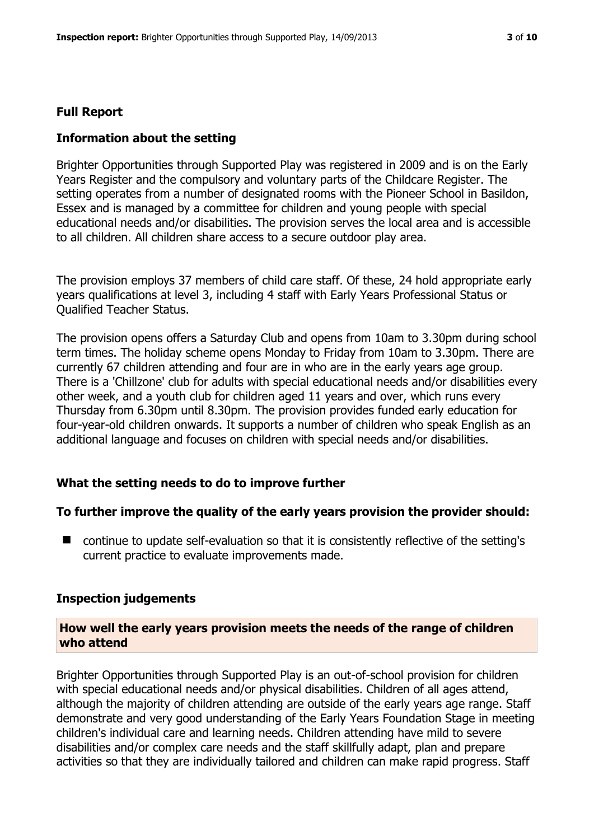# **Full Report**

# **Information about the setting**

Brighter Opportunities through Supported Play was registered in 2009 and is on the Early Years Register and the compulsory and voluntary parts of the Childcare Register. The setting operates from a number of designated rooms with the Pioneer School in Basildon, Essex and is managed by a committee for children and young people with special educational needs and/or disabilities. The provision serves the local area and is accessible to all children. All children share access to a secure outdoor play area.

The provision employs 37 members of child care staff. Of these, 24 hold appropriate early years qualifications at level 3, including 4 staff with Early Years Professional Status or Qualified Teacher Status.

The provision opens offers a Saturday Club and opens from 10am to 3.30pm during school term times. The holiday scheme opens Monday to Friday from 10am to 3.30pm. There are currently 67 children attending and four are in who are in the early years age group. There is a 'Chillzone' club for adults with special educational needs and/or disabilities every other week, and a youth club for children aged 11 years and over, which runs every Thursday from 6.30pm until 8.30pm. The provision provides funded early education for four-year-old children onwards. It supports a number of children who speak English as an additional language and focuses on children with special needs and/or disabilities.

# **What the setting needs to do to improve further**

# **To further improve the quality of the early years provision the provider should:**

■ continue to update self-evaluation so that it is consistently reflective of the setting's current practice to evaluate improvements made.

# **Inspection judgements**

#### **How well the early years provision meets the needs of the range of children who attend**

Brighter Opportunities through Supported Play is an out-of-school provision for children with special educational needs and/or physical disabilities. Children of all ages attend, although the majority of children attending are outside of the early years age range. Staff demonstrate and very good understanding of the Early Years Foundation Stage in meeting children's individual care and learning needs. Children attending have mild to severe disabilities and/or complex care needs and the staff skillfully adapt, plan and prepare activities so that they are individually tailored and children can make rapid progress. Staff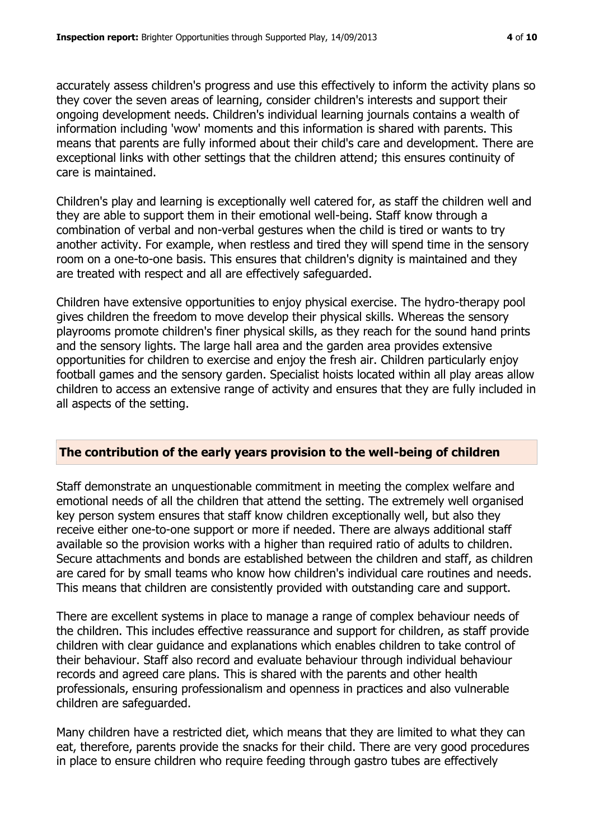accurately assess children's progress and use this effectively to inform the activity plans so they cover the seven areas of learning, consider children's interests and support their ongoing development needs. Children's individual learning journals contains a wealth of information including 'wow' moments and this information is shared with parents. This means that parents are fully informed about their child's care and development. There are exceptional links with other settings that the children attend; this ensures continuity of care is maintained.

Children's play and learning is exceptionally well catered for, as staff the children well and they are able to support them in their emotional well-being. Staff know through a combination of verbal and non-verbal gestures when the child is tired or wants to try another activity. For example, when restless and tired they will spend time in the sensory room on a one-to-one basis. This ensures that children's dignity is maintained and they are treated with respect and all are effectively safeguarded.

Children have extensive opportunities to enjoy physical exercise. The hydro-therapy pool gives children the freedom to move develop their physical skills. Whereas the sensory playrooms promote children's finer physical skills, as they reach for the sound hand prints and the sensory lights. The large hall area and the garden area provides extensive opportunities for children to exercise and enjoy the fresh air. Children particularly enjoy football games and the sensory garden. Specialist hoists located within all play areas allow children to access an extensive range of activity and ensures that they are fully included in all aspects of the setting.

#### **The contribution of the early years provision to the well-being of children**

Staff demonstrate an unquestionable commitment in meeting the complex welfare and emotional needs of all the children that attend the setting. The extremely well organised key person system ensures that staff know children exceptionally well, but also they receive either one-to-one support or more if needed. There are always additional staff available so the provision works with a higher than required ratio of adults to children. Secure attachments and bonds are established between the children and staff, as children are cared for by small teams who know how children's individual care routines and needs. This means that children are consistently provided with outstanding care and support.

There are excellent systems in place to manage a range of complex behaviour needs of the children. This includes effective reassurance and support for children, as staff provide children with clear guidance and explanations which enables children to take control of their behaviour. Staff also record and evaluate behaviour through individual behaviour records and agreed care plans. This is shared with the parents and other health professionals, ensuring professionalism and openness in practices and also vulnerable children are safeguarded.

Many children have a restricted diet, which means that they are limited to what they can eat, therefore, parents provide the snacks for their child. There are very good procedures in place to ensure children who require feeding through gastro tubes are effectively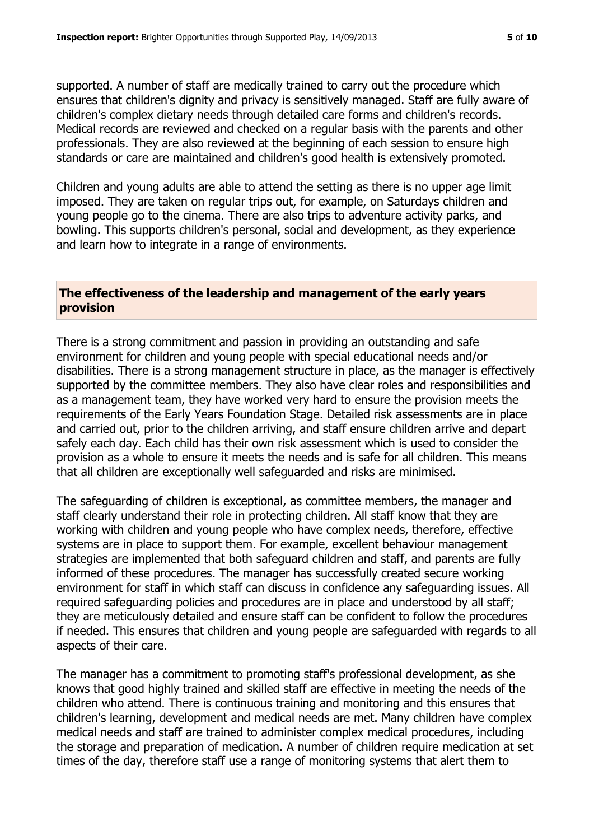supported. A number of staff are medically trained to carry out the procedure which ensures that children's dignity and privacy is sensitively managed. Staff are fully aware of children's complex dietary needs through detailed care forms and children's records. Medical records are reviewed and checked on a regular basis with the parents and other professionals. They are also reviewed at the beginning of each session to ensure high standards or care are maintained and children's good health is extensively promoted.

Children and young adults are able to attend the setting as there is no upper age limit imposed. They are taken on regular trips out, for example, on Saturdays children and young people go to the cinema. There are also trips to adventure activity parks, and bowling. This supports children's personal, social and development, as they experience and learn how to integrate in a range of environments.

#### **The effectiveness of the leadership and management of the early years provision**

There is a strong commitment and passion in providing an outstanding and safe environment for children and young people with special educational needs and/or disabilities. There is a strong management structure in place, as the manager is effectively supported by the committee members. They also have clear roles and responsibilities and as a management team, they have worked very hard to ensure the provision meets the requirements of the Early Years Foundation Stage. Detailed risk assessments are in place and carried out, prior to the children arriving, and staff ensure children arrive and depart safely each day. Each child has their own risk assessment which is used to consider the provision as a whole to ensure it meets the needs and is safe for all children. This means that all children are exceptionally well safeguarded and risks are minimised.

The safeguarding of children is exceptional, as committee members, the manager and staff clearly understand their role in protecting children. All staff know that they are working with children and young people who have complex needs, therefore, effective systems are in place to support them. For example, excellent behaviour management strategies are implemented that both safeguard children and staff, and parents are fully informed of these procedures. The manager has successfully created secure working environment for staff in which staff can discuss in confidence any safeguarding issues. All required safeguarding policies and procedures are in place and understood by all staff; they are meticulously detailed and ensure staff can be confident to follow the procedures if needed. This ensures that children and young people are safeguarded with regards to all aspects of their care.

The manager has a commitment to promoting staff's professional development, as she knows that good highly trained and skilled staff are effective in meeting the needs of the children who attend. There is continuous training and monitoring and this ensures that children's learning, development and medical needs are met. Many children have complex medical needs and staff are trained to administer complex medical procedures, including the storage and preparation of medication. A number of children require medication at set times of the day, therefore staff use a range of monitoring systems that alert them to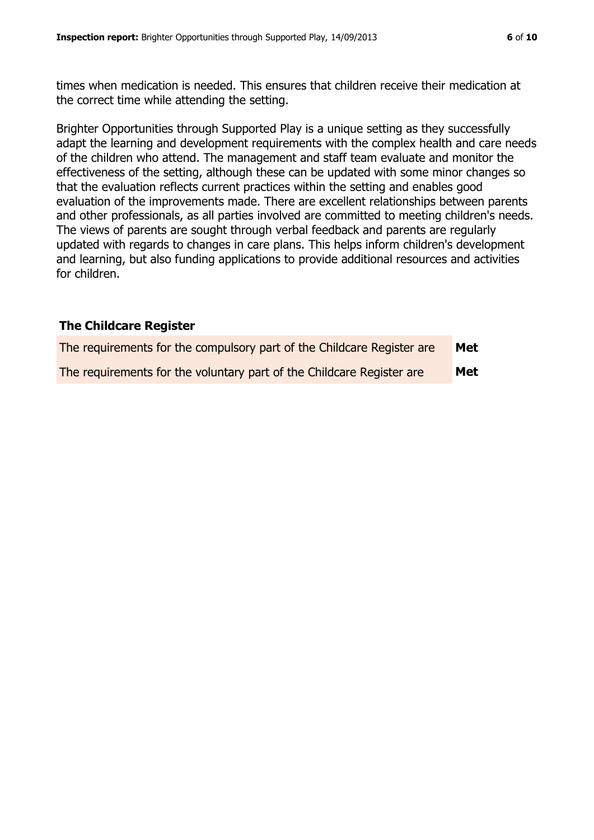times when medication is needed. This ensures that children receive their medication at the correct time while attending the setting.

Brighter Opportunities through Supported Play is a unique setting as they successfully adapt the learning and development requirements with the complex health and care needs of the children who attend. The management and staff team evaluate and monitor the effectiveness of the setting, although these can be updated with some minor changes so that the evaluation reflects current practices within the setting and enables good evaluation of the improvements made. There are excellent relationships between parents and other professionals, as all parties involved are committed to meeting children's needs. The views of parents are sought through verbal feedback and parents are regularly updated with regards to changes in care plans. This helps inform children's development and learning, but also funding applications to provide additional resources and activities for children.

#### **The Childcare Register**

| The requirements for the compulsory part of the Childcare Register are | <b>Met</b> |
|------------------------------------------------------------------------|------------|
| The requirements for the voluntary part of the Childcare Register are  | <b>Met</b> |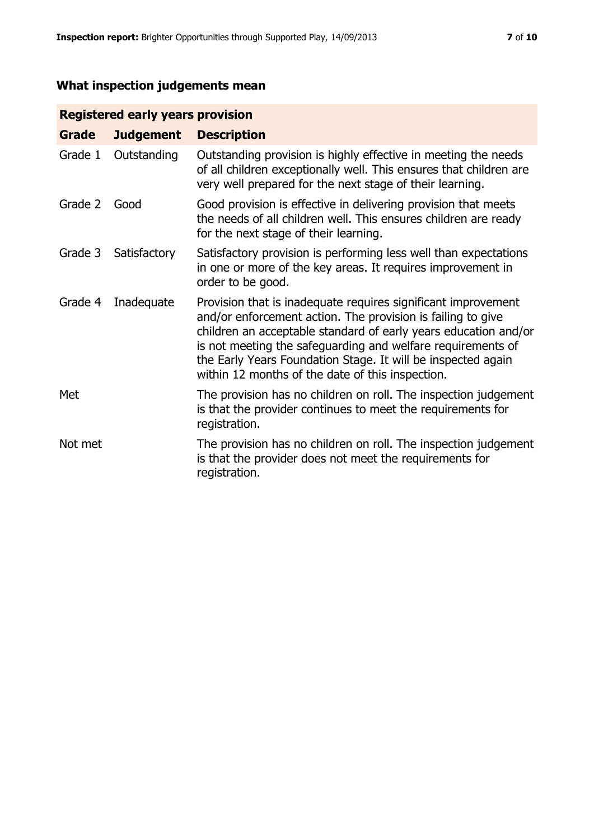# **What inspection judgements mean**

# **Registered early years provision**

| Grade   | <b>Judgement</b> | <b>Description</b>                                                                                                                                                                                                                                                                                                                                                                 |
|---------|------------------|------------------------------------------------------------------------------------------------------------------------------------------------------------------------------------------------------------------------------------------------------------------------------------------------------------------------------------------------------------------------------------|
| Grade 1 | Outstanding      | Outstanding provision is highly effective in meeting the needs<br>of all children exceptionally well. This ensures that children are<br>very well prepared for the next stage of their learning.                                                                                                                                                                                   |
| Grade 2 | Good             | Good provision is effective in delivering provision that meets<br>the needs of all children well. This ensures children are ready<br>for the next stage of their learning.                                                                                                                                                                                                         |
| Grade 3 | Satisfactory     | Satisfactory provision is performing less well than expectations<br>in one or more of the key areas. It requires improvement in<br>order to be good.                                                                                                                                                                                                                               |
| Grade 4 | Inadequate       | Provision that is inadequate requires significant improvement<br>and/or enforcement action. The provision is failing to give<br>children an acceptable standard of early years education and/or<br>is not meeting the safeguarding and welfare requirements of<br>the Early Years Foundation Stage. It will be inspected again<br>within 12 months of the date of this inspection. |
| Met     |                  | The provision has no children on roll. The inspection judgement<br>is that the provider continues to meet the requirements for<br>registration.                                                                                                                                                                                                                                    |
| Not met |                  | The provision has no children on roll. The inspection judgement<br>is that the provider does not meet the requirements for<br>registration.                                                                                                                                                                                                                                        |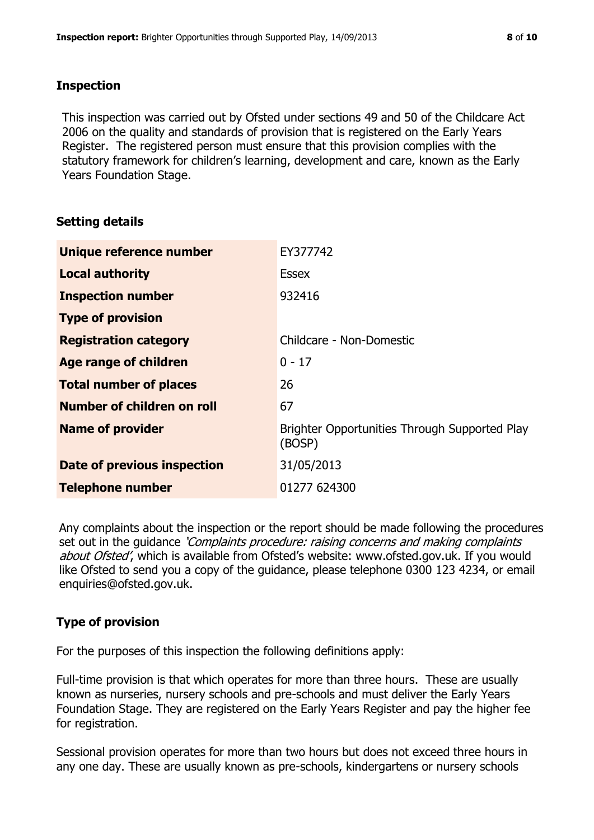#### **Inspection**

This inspection was carried out by Ofsted under sections 49 and 50 of the Childcare Act 2006 on the quality and standards of provision that is registered on the Early Years Register. The registered person must ensure that this provision complies with the statutory framework for children's learning, development and care, known as the Early Years Foundation Stage.

#### **Setting details**

| Unique reference number       | EY377742                                                |
|-------------------------------|---------------------------------------------------------|
| <b>Local authority</b>        | Essex                                                   |
| <b>Inspection number</b>      | 932416                                                  |
| <b>Type of provision</b>      |                                                         |
| <b>Registration category</b>  | Childcare - Non-Domestic                                |
| Age range of children         | $0 - 17$                                                |
| <b>Total number of places</b> | 26                                                      |
| Number of children on roll    | 67                                                      |
| <b>Name of provider</b>       | Brighter Opportunities Through Supported Play<br>(BOSP) |
| Date of previous inspection   | 31/05/2013                                              |
| <b>Telephone number</b>       | 01277 624300                                            |

Any complaints about the inspection or the report should be made following the procedures set out in the quidance *'Complaints procedure: raising concerns and making complaints* about Ofsted', which is available from Ofsted's website: www.ofsted.gov.uk. If you would like Ofsted to send you a copy of the guidance, please telephone 0300 123 4234, or email enquiries@ofsted.gov.uk.

# **Type of provision**

For the purposes of this inspection the following definitions apply:

Full-time provision is that which operates for more than three hours. These are usually known as nurseries, nursery schools and pre-schools and must deliver the Early Years Foundation Stage. They are registered on the Early Years Register and pay the higher fee for registration.

Sessional provision operates for more than two hours but does not exceed three hours in any one day. These are usually known as pre-schools, kindergartens or nursery schools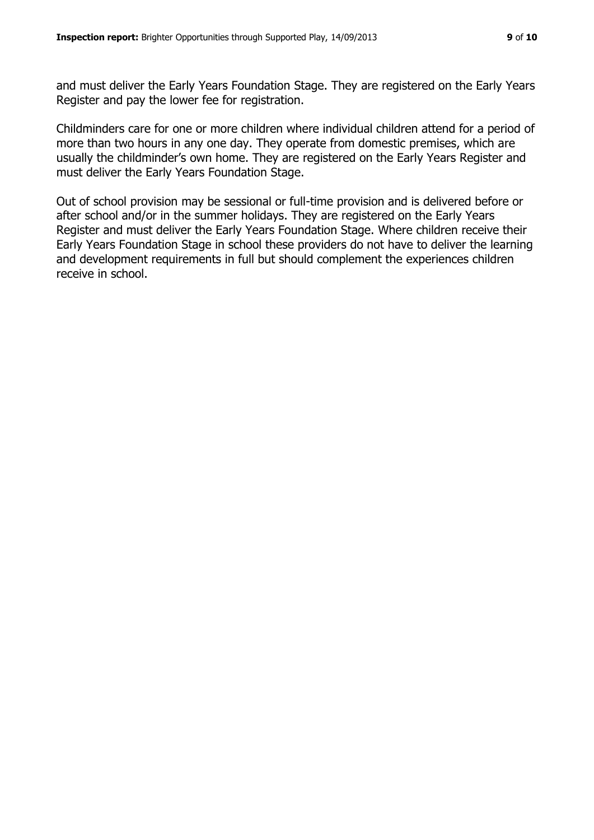and must deliver the Early Years Foundation Stage. They are registered on the Early Years Register and pay the lower fee for registration.

Childminders care for one or more children where individual children attend for a period of more than two hours in any one day. They operate from domestic premises, which are usually the childminder's own home. They are registered on the Early Years Register and must deliver the Early Years Foundation Stage.

Out of school provision may be sessional or full-time provision and is delivered before or after school and/or in the summer holidays. They are registered on the Early Years Register and must deliver the Early Years Foundation Stage. Where children receive their Early Years Foundation Stage in school these providers do not have to deliver the learning and development requirements in full but should complement the experiences children receive in school.